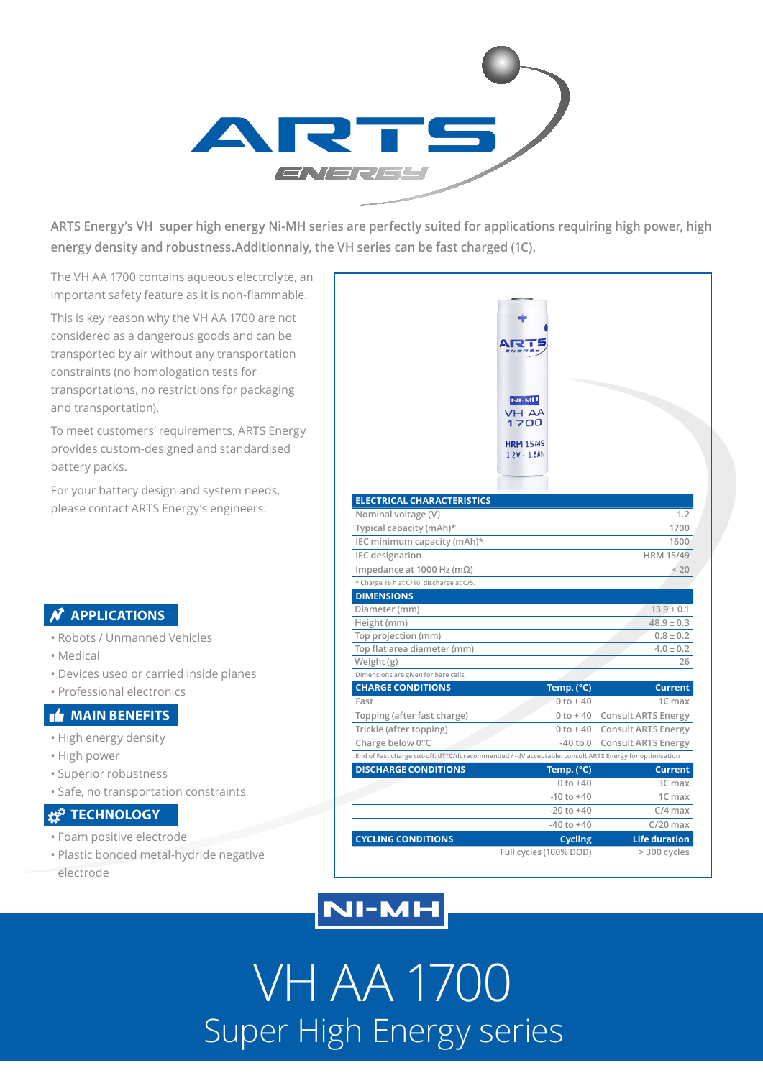

**ARTS Energy's VH super high energy Ni-MH series are perfectly suited for applications requiring high power, high energy density and robustness.Additionnaly, the VH series can be fast charged (1C).**

The VH AA 1700 contains aqueous electrolyte, an important safety feature as it is non-flammable.

This is key reason why the VH AA 1700 are not considered as a dangerous goods and can be transported by air without any transportation constraints (no homologation tests for transportations, no restrictions for packaging and transportation).

To meet customers' requirements, ARTS Energy provides custom-designed and standardised battery packs.

For your battery design and system needs, please contact ARTS Energy's engineers.

### **N** APPLICATIONS

- Robots / Unmanned Vehicles
- Medical
- Devices used or carried inside planes
- Professional electronics

#### **MAIN BENEFITS**

- High energy density
- High power
- Superior robustness
- Safe, no transportation constraints

### **Z<sup>#</sup>** TECHNOLOGY

- Foam positive electrode
- Plastic bonded metal-hydride negative

electrode

|                                                                                                       | NI-MH<br>VH AA<br>1700<br><b>HRM 15/49</b><br>$1.2V - 1.6Ah$ |                                      |
|-------------------------------------------------------------------------------------------------------|--------------------------------------------------------------|--------------------------------------|
| <b>ELECTRICAL CHARACTERISTICS</b>                                                                     |                                                              |                                      |
| Nominal voltage (V)                                                                                   |                                                              | 1.2                                  |
| Typical capacity (mAh)*                                                                               |                                                              | 1700                                 |
| IEC minimum capacity (mAh)*                                                                           |                                                              | 1600                                 |
| <b>IEC</b> designation                                                                                |                                                              | <b>HRM 15/49</b>                     |
| Impedance at 1000 Hz (m $\Omega$ )                                                                    |                                                              | < 20                                 |
| * Charge 16 h at C/10, discharge at C/5.                                                              |                                                              |                                      |
| <b>DIMENSIONS</b>                                                                                     |                                                              |                                      |
| Diameter (mm)                                                                                         |                                                              | $13.9 \pm 0.1$                       |
| Height (mm)                                                                                           |                                                              | $48.9 \pm 0.3$                       |
| Top projection (mm)                                                                                   |                                                              | $0.8 \pm 0.2$                        |
| Top flat area diameter (mm)                                                                           |                                                              | $4.0 \pm 0.2$                        |
| Weight (g)                                                                                            |                                                              | 26                                   |
| Dimensions are given for bare cells.                                                                  |                                                              |                                      |
| <b>CHARGE CONDITIONS</b><br>Fast                                                                      | Temp. (°C)<br>$0$ to $+40$                                   | <b>Current</b>                       |
|                                                                                                       | $0$ to $+40$                                                 | 1C max<br><b>Consult ARTS Energy</b> |
| Topping (after fast charge)                                                                           | $0 to + 40$                                                  | <b>Consult ARTS Energy</b>           |
| Trickle (after topping)<br>Charge below 0°C                                                           | $-40$ to $0$                                                 | <b>Consult ARTS Energy</b>           |
| End of Fast charge cut-off: dT°C/dt recommended /-dV acceptable: consult ARTS Energy for optimisation |                                                              |                                      |
| <b>DISCHARGE CONDITIONS</b>                                                                           | Temp. (°C)                                                   | <b>Current</b>                       |
|                                                                                                       | $0 to +40$                                                   | 3C max                               |
|                                                                                                       | $-10$ to $+40$                                               | 1C max                               |
|                                                                                                       | $-20$ to $+40$                                               | $C/4$ max                            |
|                                                                                                       | $-40$ to $+40$                                               | $C/20$ max                           |
| <b>CYCLING CONDITIONS</b>                                                                             | <b>Cycling</b>                                               | <b>Life duration</b>                 |
|                                                                                                       |                                                              |                                      |

## **NI-MH**

VH AA 1700 Super High Energy series